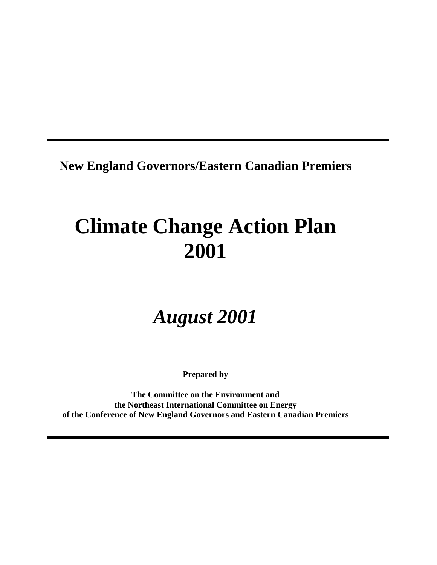**New England Governors/Eastern Canadian Premiers**

# **Climate Change Action Plan 2001**

# *August 2001*

**Prepared by**

**The Committee on the Environment and the Northeast International Committee on Energy of the Conference of New England Governors and Eastern Canadian Premiers**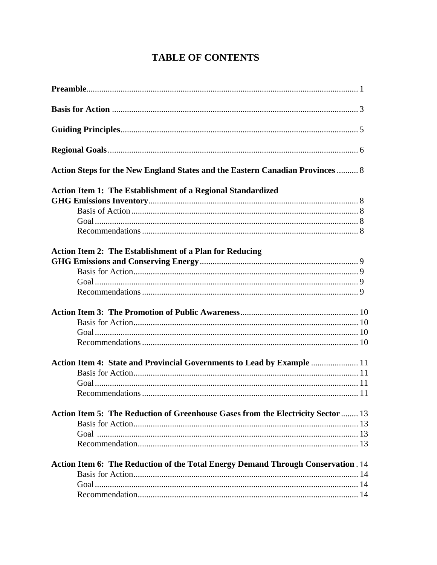## **TABLE OF CONTENTS**

| Action Steps for the New England States and the Eastern Canadian Provinces  8    |  |
|----------------------------------------------------------------------------------|--|
| Action Item 1: The Establishment of a Regional Standardized                      |  |
|                                                                                  |  |
|                                                                                  |  |
|                                                                                  |  |
|                                                                                  |  |
| <b>Action Item 2: The Establishment of a Plan for Reducing</b>                   |  |
|                                                                                  |  |
|                                                                                  |  |
|                                                                                  |  |
|                                                                                  |  |
|                                                                                  |  |
|                                                                                  |  |
|                                                                                  |  |
|                                                                                  |  |
|                                                                                  |  |
| Action Item 4: State and Provincial Governments to Lead by Example  11           |  |
|                                                                                  |  |
|                                                                                  |  |
|                                                                                  |  |
| Action Item 5: The Reduction of Greenhouse Gases from the Electricity Sector  13 |  |
|                                                                                  |  |
|                                                                                  |  |
|                                                                                  |  |
|                                                                                  |  |
| Action Item 6: The Reduction of the Total Energy Demand Through Conservation. 14 |  |
|                                                                                  |  |
|                                                                                  |  |
|                                                                                  |  |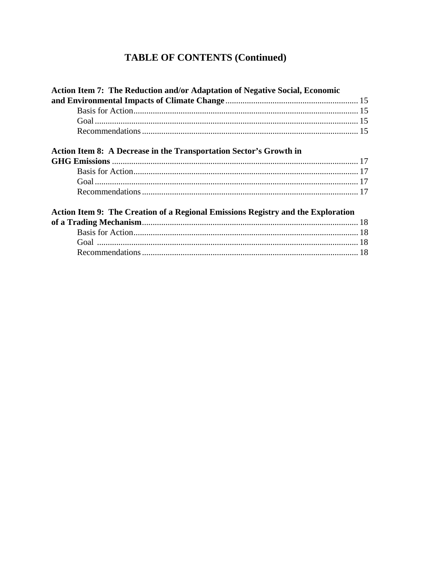## **TABLE OF CONTENTS (Continued)**

| <b>Action Item 7: The Reduction and/or Adaptation of Negative Social, Economic</b> |  |
|------------------------------------------------------------------------------------|--|
|                                                                                    |  |
|                                                                                    |  |
|                                                                                    |  |
|                                                                                    |  |
| Action Item 8: A Decrease in the Transportation Sector's Growth in                 |  |
|                                                                                    |  |
|                                                                                    |  |
|                                                                                    |  |
|                                                                                    |  |
| Action Item 9: The Creation of a Regional Emissions Registry and the Exploration   |  |
|                                                                                    |  |
|                                                                                    |  |
|                                                                                    |  |
|                                                                                    |  |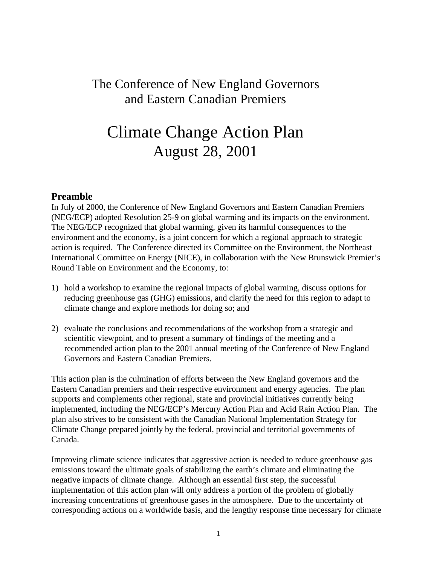## The Conference of New England Governors and Eastern Canadian Premiers

## Climate Change Action Plan August 28, 2001

#### **Preamble**

In July of 2000, the Conference of New England Governors and Eastern Canadian Premiers (NEG/ECP) adopted Resolution 25-9 on global warming and its impacts on the environment. The NEG/ECP recognized that global warming, given its harmful consequences to the environment and the economy, is a joint concern for which a regional approach to strategic action is required. The Conference directed its Committee on the Environment, the Northeast International Committee on Energy (NICE), in collaboration with the New Brunswick Premier's Round Table on Environment and the Economy, to:

- 1) hold a workshop to examine the regional impacts of global warming, discuss options for reducing greenhouse gas (GHG) emissions, and clarify the need for this region to adapt to climate change and explore methods for doing so; and
- 2) evaluate the conclusions and recommendations of the workshop from a strategic and scientific viewpoint, and to present a summary of findings of the meeting and a recommended action plan to the 2001 annual meeting of the Conference of New England Governors and Eastern Canadian Premiers.

This action plan is the culmination of efforts between the New England governors and the Eastern Canadian premiers and their respective environment and energy agencies. The plan supports and complements other regional, state and provincial initiatives currently being implemented, including the NEG/ECP's Mercury Action Plan and Acid Rain Action Plan. The plan also strives to be consistent with the Canadian National Implementation Strategy for Climate Change prepared jointly by the federal, provincial and territorial governments of Canada.

Improving climate science indicates that aggressive action is needed to reduce greenhouse gas emissions toward the ultimate goals of stabilizing the earth's climate and eliminating the negative impacts of climate change. Although an essential first step, the successful implementation of this action plan will only address a portion of the problem of globally increasing concentrations of greenhouse gases in the atmosphere. Due to the uncertainty of corresponding actions on a worldwide basis, and the lengthy response time necessary for climate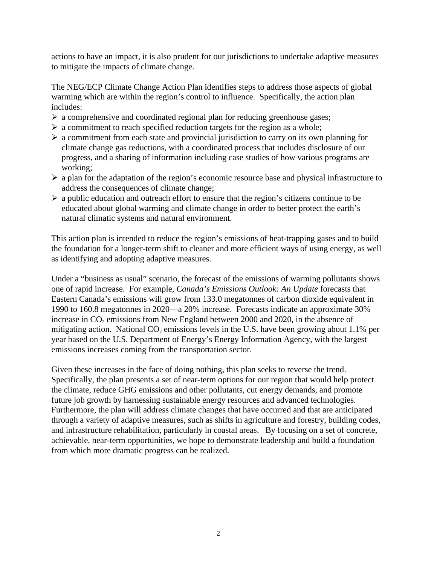actions to have an impact, it is also prudent for our jurisdictions to undertake adaptive measures to mitigate the impacts of climate change.

The NEG/ECP Climate Change Action Plan identifies steps to address those aspects of global warming which are within the region's control to influence. Specifically, the action plan includes:

- $\triangleright$  a comprehensive and coordinated regional plan for reducing greenhouse gases;
- $\triangleright$  a commitment to reach specified reduction targets for the region as a whole;
- $\triangleright$  a commitment from each state and provincial jurisdiction to carry on its own planning for climate change gas reductions, with a coordinated process that includes disclosure of our progress, and a sharing of information including case studies of how various programs are working;
- $\triangleright$  a plan for the adaptation of the region's economic resource base and physical infrastructure to address the consequences of climate change;
- $\triangleright$  a public education and outreach effort to ensure that the region's citizens continue to be educated about global warming and climate change in order to better protect the earth's natural climatic systems and natural environment.

 This action plan is intended to reduce the region's emissions of heat-trapping gases and to build the foundation for a longer-term shift to cleaner and more efficient ways of using energy, as well as identifying and adopting adaptive measures.

 Under a "business as usual" scenario, the forecast of the emissions of warming pollutants shows one of rapid increase. For example, *Canada's Emissions Outlook: An Update* forecasts that Eastern Canada's emissions will grow from 133.0 megatonnes of carbon dioxide equivalent in 1990 to 160.8 megatonnes in 2020—a 20% increase. Forecasts indicate an approximate 30% increase in  $CO<sub>2</sub>$  emissions from New England between 2000 and 2020, in the absence of mitigating action. National  $CO<sub>2</sub>$  emissions levels in the U.S. have been growing about 1.1% per year based on the U.S. Department of Energy's Energy Information Agency, with the largest emissions increases coming from the transportation sector.

Given these increases in the face of doing nothing, this plan seeks to reverse the trend. Specifically, the plan presents a set of near-term options for our region that would help protect the climate, reduce GHG emissions and other pollutants, cut energy demands, and promote future job growth by harnessing sustainable energy resources and advanced technologies. Furthermore, the plan will address climate changes that have occurred and that are anticipated through a variety of adaptive measures, such as shifts in agriculture and forestry, building codes, and infrastructure rehabilitation, particularly in coastal areas. By focusing on a set of concrete, achievable, near-term opportunities, we hope to demonstrate leadership and build a foundation from which more dramatic progress can be realized.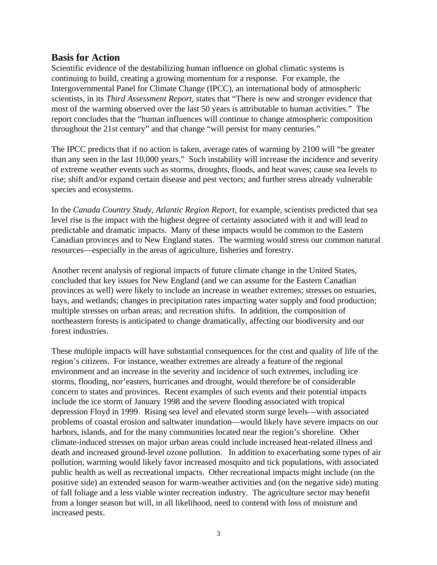#### **Basis for Action**

 Scientific evidence of the destabilizing human influence on global climatic systems is continuing to build, creating a growing momentum for a response. For example, the Intergovernmental Panel for Climate Change (IPCC), an international body of atmospheric scientists, in its *Third Assessment Report*, states that "There is new and stronger evidence that most of the warming observed over the last 50 years is attributable to human activities." The report concludes that the "human influences will continue to change atmospheric composition throughout the 21st century" and that change "will persist for many centuries."

 The IPCC predicts that if no action is taken, average rates of warming by 2100 will "be greater than any seen in the last 10,000 years." Such instability will increase the incidence and severity of extreme weather events such as storms, droughts, floods, and heat waves; cause sea levels to rise; shift and/or expand certain disease and pest vectors; and further stress already vulnerable species and ecosystems.

 In the *Canada Country Study, Atlantic Region Report*, for example, scientists predicted that sea level rise is the impact with the highest degree of certainty associated with it and will lead to predictable and dramatic impacts. Many of these impacts would be common to the Eastern Canadian provinces and to New England states. The warming would stress our common natural resources—especially in the areas of agriculture, fisheries and forestry.

 Another recent analysis of regional impacts of future climate change in the United States, concluded that key issues for New England (and we can assume for the Eastern Canadian provinces as well) were likely to include an increase in weather extremes; stresses on estuaries, bays, and wetlands; changes in precipitation rates impacting water supply and food production; multiple stresses on urban areas; and recreation shifts. In addition, the composition of northeastern forests is anticipated to change dramatically, affecting our biodiversity and our forest industries.

 These multiple impacts will have substantial consequences for the cost and quality of life of the region's citizens. For instance, weather extremes are already a feature of the regional environment and an increase in the severity and incidence of such extremes, including ice storms, flooding, nor'easters, hurricanes and drought, would therefore be of considerable concern to states and provinces. Recent examples of such events and their potential impacts include the ice storm of January 1998 and the severe flooding associated with tropical depression Floyd in 1999. Rising sea level and elevated storm surge levels—with associated problems of coastal erosion and saltwater inundation—would likely have severe impacts on our harbors, islands, and for the many communities located near the region's shoreline. Other climate-induced stresses on major urban areas could include increased heat-related illness and death and increased ground-level ozone pollution. In addition to exacerbating some types of air pollution, warming would likely favor increased mosquito and tick populations, with associated public health as well as recreational impacts. Other recreational impacts might include (on the positive side) an extended season for warm-weather activities and (on the negative side) muting of fall foliage and a less viable winter recreation industry. The agriculture sector may benefit from a longer season but will, in all likelihood, need to contend with loss of moisture and increased pests.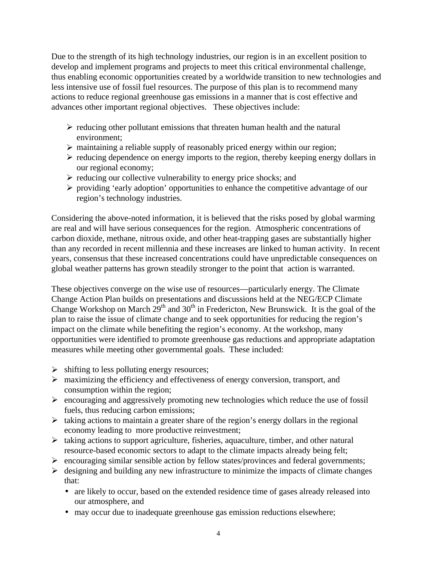Due to the strength of its high technology industries, our region is in an excellent position to develop and implement programs and projects to meet this critical environmental challenge, thus enabling economic opportunities created by a worldwide transition to new technologies and less intensive use of fossil fuel resources. The purpose of this plan is to recommend many actions to reduce regional greenhouse gas emissions in a manner that is cost effective and advances other important regional objectives. These objectives include:

- $\triangleright$  reducing other pollutant emissions that threaten human health and the natural environment;
- $\triangleright$  maintaining a reliable supply of reasonably priced energy within our region;
- $\triangleright$  reducing dependence on energy imports to the region, thereby keeping energy dollars in our regional economy;
- $\triangleright$  reducing our collective vulnerability to energy price shocks; and
- $\triangleright$  providing 'early adoption' opportunities to enhance the competitive advantage of our region's technology industries.

Considering the above-noted information, it is believed that the risks posed by global warming are real and will have serious consequences for the region. Atmospheric concentrations of carbon dioxide, methane, nitrous oxide, and other heat-trapping gases are substantially higher than any recorded in recent millennia and these increases are linked to human activity. In recent years, consensus that these increased concentrations could have unpredictable consequences on global weather patterns has grown steadily stronger to the point that action is warranted.

These objectives converge on the wise use of resources—particularly energy. The Climate Change Action Plan builds on presentations and discussions held at the NEG/ECP Climate Change Workshop on March  $29<sup>th</sup>$  and  $30<sup>th</sup>$  in Fredericton, New Brunswick. It is the goal of the plan to raise the issue of climate change and to seek opportunities for reducing the region's impact on the climate while benefiting the region's economy. At the workshop, many opportunities were identified to promote greenhouse gas reductions and appropriate adaptation measures while meeting other governmental goals. These included:

- $\triangleright$  shifting to less polluting energy resources;
- $\triangleright$  maximizing the efficiency and effectiveness of energy conversion, transport, and consumption within the region;
- $\triangleright$  encouraging and aggressively promoting new technologies which reduce the use of fossil fuels, thus reducing carbon emissions;
- $\triangleright$  taking actions to maintain a greater share of the region's energy dollars in the regional economy leading to more productive reinvestment;
- $\triangleright$  taking actions to support agriculture, fisheries, aquaculture, timber, and other natural resource-based economic sectors to adapt to the climate impacts already being felt;
- $\triangleright$  encouraging similar sensible action by fellow states/provinces and federal governments;
- $\triangleright$  designing and building any new infrastructure to minimize the impacts of climate changes that:
	- are likely to occur, based on the extended residence time of gases already released into our atmosphere, and
	- may occur due to inadequate greenhouse gas emission reductions elsewhere;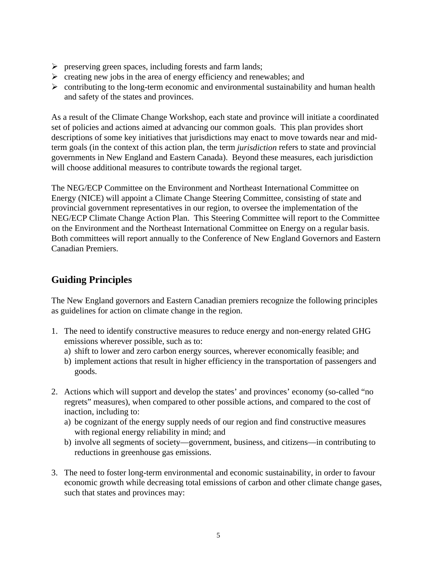- $\triangleright$  preserving green spaces, including forests and farm lands;
- $\triangleright$  creating new jobs in the area of energy efficiency and renewables; and
- $\triangleright$  contributing to the long-term economic and environmental sustainability and human health and safety of the states and provinces.

As a result of the Climate Change Workshop, each state and province will initiate a coordinated set of policies and actions aimed at advancing our common goals. This plan provides short descriptions of some key initiatives that jurisdictions may enact to move towards near and midterm goals (in the context of this action plan, the term *jurisdiction* refers to state and provincial governments in New England and Eastern Canada). Beyond these measures, each jurisdiction will choose additional measures to contribute towards the regional target.

The NEG/ECP Committee on the Environment and Northeast International Committee on Energy (NICE) will appoint a Climate Change Steering Committee, consisting of state and provincial government representatives in our region, to oversee the implementation of the NEG/ECP Climate Change Action Plan. This Steering Committee will report to the Committee on the Environment and the Northeast International Committee on Energy on a regular basis. Both committees will report annually to the Conference of New England Governors and Eastern Canadian Premiers.

## **Guiding Principles**

The New England governors and Eastern Canadian premiers recognize the following principles as guidelines for action on climate change in the region.

- 1. The need to identify constructive measures to reduce energy and non-energy related GHG emissions wherever possible, such as to:
	- a) shift to lower and zero carbon energy sources, wherever economically feasible; and
	- b) implement actions that result in higher efficiency in the transportation of passengers and goods.
- 2. Actions which will support and develop the states' and provinces' economy (so-called "no regrets" measures), when compared to other possible actions, and compared to the cost of inaction, including to:
	- a) be cognizant of the energy supply needs of our region and find constructive measures with regional energy reliability in mind; and
	- b) involve all segments of society—government, business, and citizens—in contributing to reductions in greenhouse gas emissions.
- 3. The need to foster long-term environmental and economic sustainability, in order to favour economic growth while decreasing total emissions of carbon and other climate change gases, such that states and provinces may: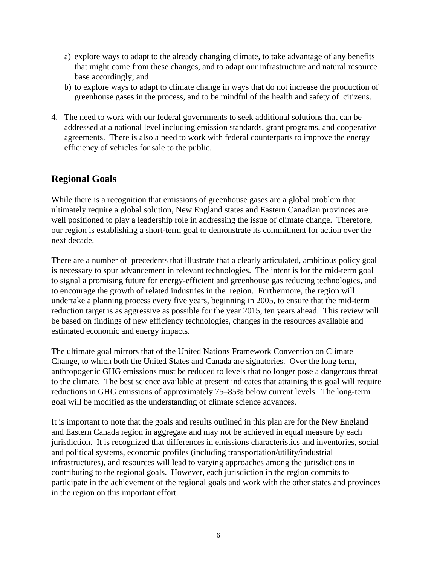- a) explore ways to adapt to the already changing climate, to take advantage of any benefits that might come from these changes, and to adapt our infrastructure and natural resource base accordingly; and
- b) to explore ways to adapt to climate change in ways that do not increase the production of greenhouse gases in the process, and to be mindful of the health and safety of citizens.
- 4. The need to work with our federal governments to seek additional solutions that can be addressed at a national level including emission standards, grant programs, and cooperative agreements. There is also a need to work with federal counterparts to improve the energy efficiency of vehicles for sale to the public.

## **Regional Goals**

While there is a recognition that emissions of greenhouse gases are a global problem that ultimately require a global solution, New England states and Eastern Canadian provinces are well positioned to play a leadership role in addressing the issue of climate change. Therefore, our region is establishing a short-term goal to demonstrate its commitment for action over the next decade.

There are a number of precedents that illustrate that a clearly articulated, ambitious policy goal is necessary to spur advancement in relevant technologies. The intent is for the mid-term goal to signal a promising future for energy-efficient and greenhouse gas reducing technologies, and to encourage the growth of related industries in the region. Furthermore, the region will undertake a planning process every five years, beginning in 2005, to ensure that the mid-term reduction target is as aggressive as possible for the year 2015, ten years ahead. This review will be based on findings of new efficiency technologies, changes in the resources available and estimated economic and energy impacts.

The ultimate goal mirrors that of the United Nations Framework Convention on Climate Change, to which both the United States and Canada are signatories. Over the long term, anthropogenic GHG emissions must be reduced to levels that no longer pose a dangerous threat to the climate. The best science available at present indicates that attaining this goal will require reductions in GHG emissions of approximately 75–85% below current levels. The long-term goal will be modified as the understanding of climate science advances.

It is important to note that the goals and results outlined in this plan are for the New England and Eastern Canada region in aggregate and may not be achieved in equal measure by each jurisdiction. It is recognized that differences in emissions characteristics and inventories, social and political systems, economic profiles (including transportation/utility/industrial infrastructures), and resources will lead to varying approaches among the jurisdictions in contributing to the regional goals. However, each jurisdiction in the region commits to participate in the achievement of the regional goals and work with the other states and provinces in the region on this important effort.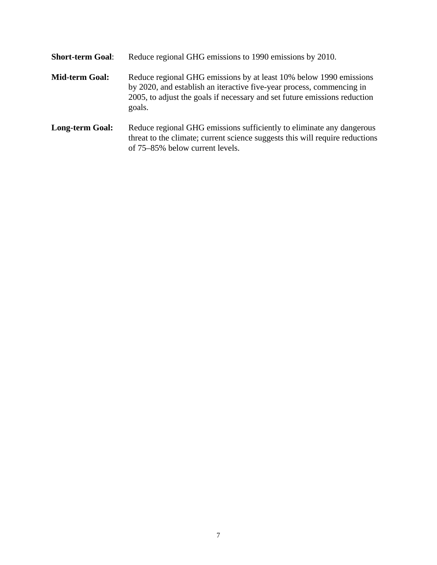| <b>Short-term Goal:</b> | Reduce regional GHG emissions to 1990 emissions by 2010.                                                                                                                                                                           |
|-------------------------|------------------------------------------------------------------------------------------------------------------------------------------------------------------------------------------------------------------------------------|
| <b>Mid-term Goal:</b>   | Reduce regional GHG emissions by at least 10% below 1990 emissions<br>by 2020, and establish an iteractive five-year process, commencing in<br>2005, to adjust the goals if necessary and set future emissions reduction<br>goals. |
| <b>Long-term Goal:</b>  | Reduce regional GHG emissions sufficiently to eliminate any dangerous<br>threat to the climate; current science suggests this will require reductions<br>of 75–85% below current levels.                                           |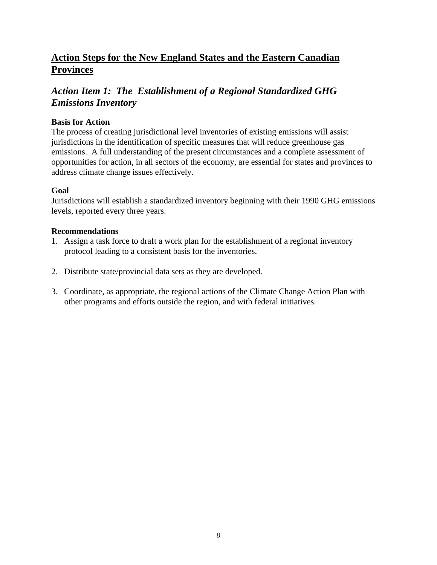## **Action Steps for the New England States and the Eastern Canadian Provinces**

### *Action Item 1: The Establishment of a Regional Standardized GHG Emissions Inventory*

#### **Basis for Action**

The process of creating jurisdictional level inventories of existing emissions will assist jurisdictions in the identification of specific measures that will reduce greenhouse gas emissions. A full understanding of the present circumstances and a complete assessment of opportunities for action, in all sectors of the economy, are essential for states and provinces to address climate change issues effectively.

#### **Goal**

Jurisdictions will establish a standardized inventory beginning with their 1990 GHG emissions levels, reported every three years.

- 1. Assign a task force to draft a work plan for the establishment of a regional inventory protocol leading to a consistent basis for the inventories.
- 2. Distribute state/provincial data sets as they are developed.
- 3. Coordinate, as appropriate, the regional actions of the Climate Change Action Plan with other programs and efforts outside the region, and with federal initiatives.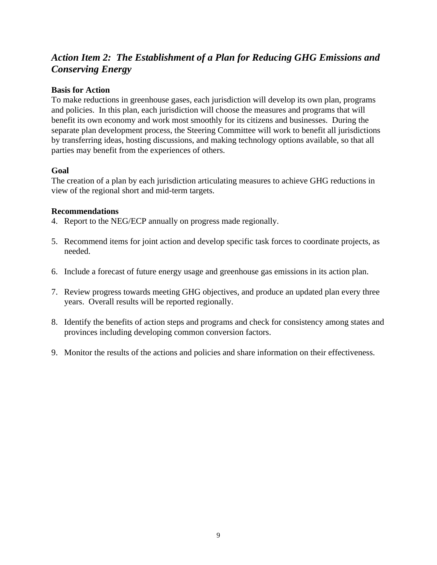## *Action Item 2: The Establishment of a Plan for Reducing GHG Emissions and Conserving Energy*

#### **Basis for Action**

To make reductions in greenhouse gases, each jurisdiction will develop its own plan, programs and policies. In this plan, each jurisdiction will choose the measures and programs that will benefit its own economy and work most smoothly for its citizens and businesses. During the separate plan development process, the Steering Committee will work to benefit all jurisdictions by transferring ideas, hosting discussions, and making technology options available, so that all parties may benefit from the experiences of others.

#### **Goal**

The creation of a plan by each jurisdiction articulating measures to achieve GHG reductions in view of the regional short and mid-term targets.

- 4. Report to the NEG/ECP annually on progress made regionally.
- 5. Recommend items for joint action and develop specific task forces to coordinate projects, as needed.
- 6. Include a forecast of future energy usage and greenhouse gas emissions in its action plan.
- 7. Review progress towards meeting GHG objectives, and produce an updated plan every three years. Overall results will be reported regionally.
- 8. Identify the benefits of action steps and programs and check for consistency among states and provinces including developing common conversion factors.
- 9. Monitor the results of the actions and policies and share information on their effectiveness.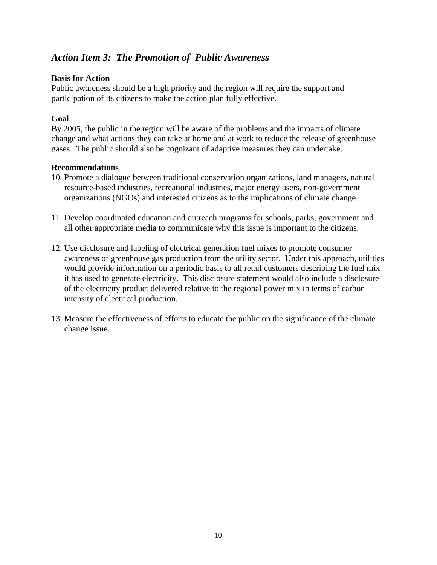## *Action Item 3: The Promotion of Public Awareness*

#### **Basis for Action**

Public awareness should be a high priority and the region will require the support and participation of its citizens to make the action plan fully effective.

#### **Goal**

By 2005, the public in the region will be aware of the problems and the impacts of climate change and what actions they can take at home and at work to reduce the release of greenhouse gases. The public should also be cognizant of adaptive measures they can undertake.

- 10. Promote a dialogue between traditional conservation organizations, land managers, natural resource-based industries, recreational industries, major energy users, non-government organizations (NGOs) and interested citizens as to the implications of climate change.
- 11. Develop coordinated education and outreach programs for schools, parks, government and all other appropriate media to communicate why this issue is important to the citizens.
- 12. Use disclosure and labeling of electrical generation fuel mixes to promote consumer awareness of greenhouse gas production from the utility sector. Under this approach, utilities would provide information on a periodic basis to all retail customers describing the fuel mix it has used to generate electricity. This disclosure statement would also include a disclosure of the electricity product delivered relative to the regional power mix in terms of carbon intensity of electrical production.
- 13. Measure the effectiveness of efforts to educate the public on the significance of the climate change issue.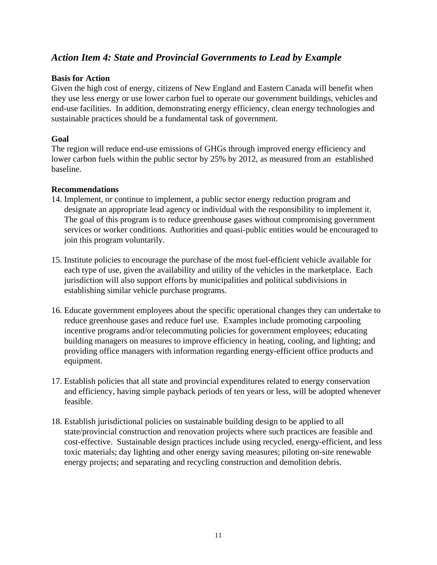## *Action Item 4: State and Provincial Governments to Lead by Example*

#### **Basis for Action**

Given the high cost of energy, citizens of New England and Eastern Canada will benefit when they use less energy or use lower carbon fuel to operate our government buildings, vehicles and end-use facilities. In addition, demonstrating energy efficiency, clean energy technologies and sustainable practices should be a fundamental task of government.

#### **Goal**

The region will reduce end-use emissions of GHGs through improved energy efficiency and lower carbon fuels within the public sector by 25% by 2012, as measured from an established baseline.

- 14. Implement, or continue to implement, a public sector energy reduction program and designate an appropriate lead agency or individual with the responsibility to implement it. The goal of this program is to reduce greenhouse gases without compromising government services or worker conditions. Authorities and quasi-public entities would be encouraged to join this program voluntarily.
- 15. Institute policies to encourage the purchase of the most fuel-efficient vehicle available for each type of use, given the availability and utility of the vehicles in the marketplace. Each jurisdiction will also support efforts by municipalities and political subdivisions in establishing similar vehicle purchase programs.
- 16. Educate government employees about the specific operational changes they can undertake to reduce greenhouse gases and reduce fuel use. Examples include promoting carpooling incentive programs and/or telecommuting policies for government employees; educating building managers on measures to improve efficiency in heating, cooling, and lighting; and providing office managers with information regarding energy-efficient office products and equipment.
- 17. Establish policies that all state and provincial expenditures related to energy conservation and efficiency, having simple payback periods of ten years or less, will be adopted whenever feasible.
- 18. Establish jurisdictional policies on sustainable building design to be applied to all state/provincial construction and renovation projects where such practices are feasible and cost-effective. Sustainable design practices include using recycled, energy-efficient, and less toxic materials; day lighting and other energy saving measures; piloting on-site renewable energy projects; and separating and recycling construction and demolition debris.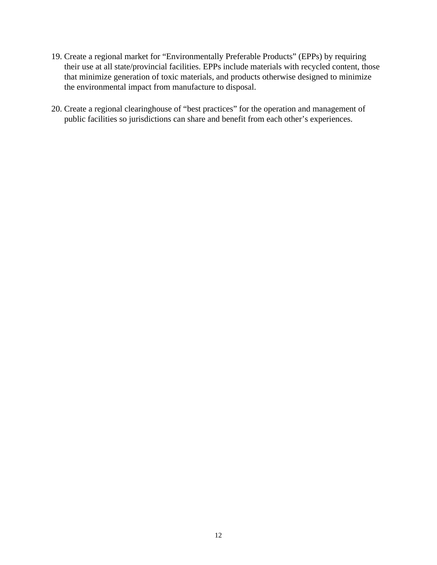- 19. Create a regional market for "Environmentally Preferable Products" (EPPs) by requiring their use at all state/provincial facilities. EPPs include materials with recycled content, those that minimize generation of toxic materials, and products otherwise designed to minimize the environmental impact from manufacture to disposal.
- 20. Create a regional clearinghouse of "best practices" for the operation and management of public facilities so jurisdictions can share and benefit from each other's experiences.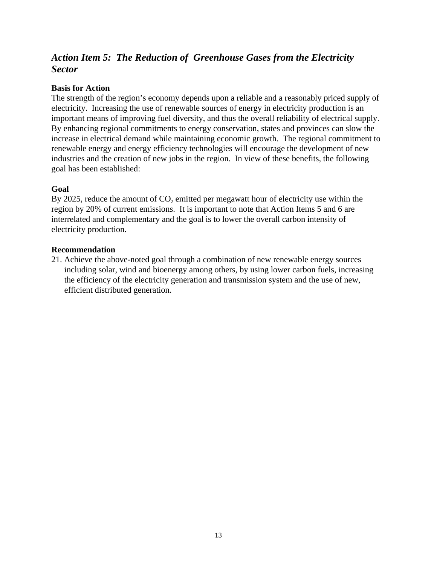## *Action Item 5: The Reduction of Greenhouse Gases from the Electricity Sector*

#### **Basis for Action**

The strength of the region's economy depends upon a reliable and a reasonably priced supply of electricity. Increasing the use of renewable sources of energy in electricity production is an important means of improving fuel diversity, and thus the overall reliability of electrical supply. By enhancing regional commitments to energy conservation, states and provinces can slow the increase in electrical demand while maintaining economic growth. The regional commitment to renewable energy and energy efficiency technologies will encourage the development of new industries and the creation of new jobs in the region. In view of these benefits, the following goal has been established:

#### **Goal**

By 2025, reduce the amount of  $CO<sub>2</sub>$  emitted per megawatt hour of electricity use within the region by 20% of current emissions. It is important to note that Action Items 5 and 6 are interrelated and complementary and the goal is to lower the overall carbon intensity of electricity production.

#### **Recommendation**

21. Achieve the above-noted goal through a combination of new renewable energy sources including solar, wind and bioenergy among others, by using lower carbon fuels, increasing the efficiency of the electricity generation and transmission system and the use of new, efficient distributed generation.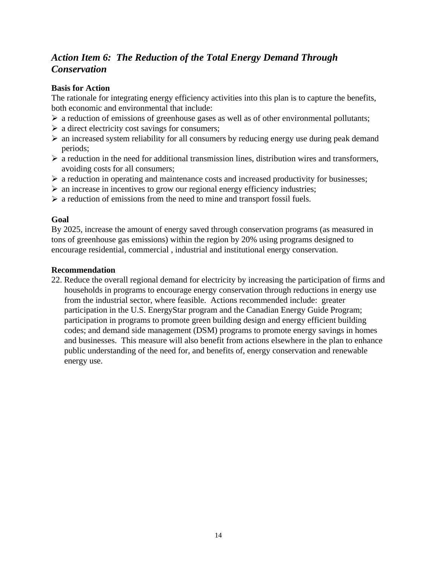## *Action Item 6: The Reduction of the Total Energy Demand Through Conservation*

#### **Basis for Action**

The rationale for integrating energy efficiency activities into this plan is to capture the benefits, both economic and environmental that include:

- $\triangleright$  a reduction of emissions of greenhouse gases as well as of other environmental pollutants;
- $\triangleright$  a direct electricity cost savings for consumers;
- $\triangleright$  an increased system reliability for all consumers by reducing energy use during peak demand periods;
- $\triangleright$  a reduction in the need for additional transmission lines, distribution wires and transformers, avoiding costs for all consumers;
- $\triangleright$  a reduction in operating and maintenance costs and increased productivity for businesses;
- $\triangleright$  an increase in incentives to grow our regional energy efficiency industries;
- $\triangleright$  a reduction of emissions from the need to mine and transport fossil fuels.

#### **Goal**

By 2025, increase the amount of energy saved through conservation programs (as measured in tons of greenhouse gas emissions) within the region by 20% using programs designed to encourage residential, commercial , industrial and institutional energy conservation.

#### **Recommendation**

22. Reduce the overall regional demand for electricity by increasing the participation of firms and households in programs to encourage energy conservation through reductions in energy use from the industrial sector, where feasible. Actions recommended include: greater participation in the U.S. EnergyStar program and the Canadian Energy Guide Program; participation in programs to promote green building design and energy efficient building codes; and demand side management (DSM) programs to promote energy savings in homes and businesses. This measure will also benefit from actions elsewhere in the plan to enhance public understanding of the need for, and benefits of, energy conservation and renewable energy use.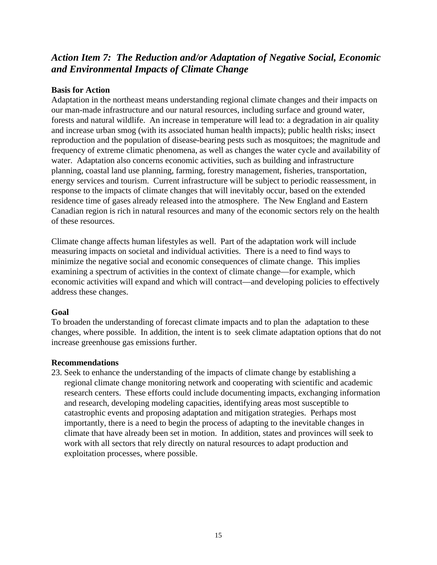## *Action Item 7: The Reduction and/or Adaptation of Negative Social, Economic and Environmental Impacts of Climate Change*

#### **Basis for Action**

Adaptation in the northeast means understanding regional climate changes and their impacts on our man-made infrastructure and our natural resources, including surface and ground water, forests and natural wildlife. An increase in temperature will lead to: a degradation in air quality and increase urban smog (with its associated human health impacts); public health risks; insect reproduction and the population of disease-bearing pests such as mosquitoes; the magnitude and frequency of extreme climatic phenomena, as well as changes the water cycle and availability of water. Adaptation also concerns economic activities, such as building and infrastructure planning, coastal land use planning, farming, forestry management, fisheries, transportation, energy services and tourism. Current infrastructure will be subject to periodic reassessment, in response to the impacts of climate changes that will inevitably occur, based on the extended residence time of gases already released into the atmosphere. The New England and Eastern Canadian region is rich in natural resources and many of the economic sectors rely on the health of these resources.

Climate change affects human lifestyles as well. Part of the adaptation work will include measuring impacts on societal and individual activities. There is a need to find ways to minimize the negative social and economic consequences of climate change. This implies examining a spectrum of activities in the context of climate change—for example, which economic activities will expand and which will contract—and developing policies to effectively address these changes.

#### **Goal**

To broaden the understanding of forecast climate impacts and to plan the adaptation to these changes, where possible. In addition, the intent is to seek climate adaptation options that do not increase greenhouse gas emissions further.

#### **Recommendations**

23. Seek to enhance the understanding of the impacts of climate change by establishing a regional climate change monitoring network and cooperating with scientific and academic research centers. These efforts could include documenting impacts, exchanging information and research, developing modeling capacities, identifying areas most susceptible to catastrophic events and proposing adaptation and mitigation strategies. Perhaps most importantly, there is a need to begin the process of adapting to the inevitable changes in climate that have already been set in motion. In addition, states and provinces will seek to work with all sectors that rely directly on natural resources to adapt production and exploitation processes, where possible.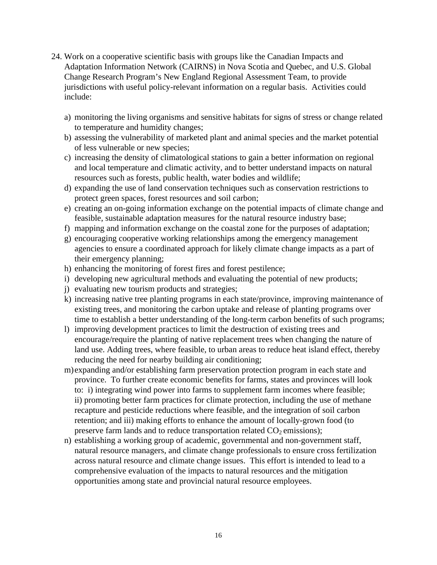- 24. Work on a cooperative scientific basis with groups like the Canadian Impacts and Adaptation Information Network (CAIRNS) in Nova Scotia and Quebec, and U.S. Global Change Research Program's New England Regional Assessment Team, to provide jurisdictions with useful policy-relevant information on a regular basis. Activities could include:
	- a) monitoring the living organisms and sensitive habitats for signs of stress or change related to temperature and humidity changes;
	- b) assessing the vulnerability of marketed plant and animal species and the market potential of less vulnerable or new species;
	- c) increasing the density of climatological stations to gain a better information on regional and local temperature and climatic activity, and to better understand impacts on natural resources such as forests, public health, water bodies and wildlife;
	- d) expanding the use of land conservation techniques such as conservation restrictions to protect green spaces, forest resources and soil carbon;
	- e) creating an on-going information exchange on the potential impacts of climate change and feasible, sustainable adaptation measures for the natural resource industry base;
	- f) mapping and information exchange on the coastal zone for the purposes of adaptation;
	- g) encouraging cooperative working relationships among the emergency management agencies to ensure a coordinated approach for likely climate change impacts as a part of their emergency planning;
	- h) enhancing the monitoring of forest fires and forest pestilence;
	- i) developing new agricultural methods and evaluating the potential of new products;
	- j) evaluating new tourism products and strategies;
	- k) increasing native tree planting programs in each state/province, improving maintenance of existing trees, and monitoring the carbon uptake and release of planting programs over time to establish a better understanding of the long-term carbon benefits of such programs;
	- l) improving development practices to limit the destruction of existing trees and encourage/require the planting of native replacement trees when changing the nature of land use. Adding trees, where feasible, to urban areas to reduce heat island effect, thereby reducing the need for nearby building air conditioning;
	- m) expanding and/or establishing farm preservation protection program in each state and province. To further create economic benefits for farms, states and provinces will look to: i) integrating wind power into farms to supplement farm incomes where feasible; ii) promoting better farm practices for climate protection, including the use of methane recapture and pesticide reductions where feasible, and the integration of soil carbon retention; and iii) making efforts to enhance the amount of locally-grown food (to preserve farm lands and to reduce transportation related  $CO<sub>2</sub>$  emissions);
	- n) establishing a working group of academic, governmental and non-government staff, natural resource managers, and climate change professionals to ensure cross fertilization across natural resource and climate change issues. This effort is intended to lead to a comprehensive evaluation of the impacts to natural resources and the mitigation opportunities among state and provincial natural resource employees.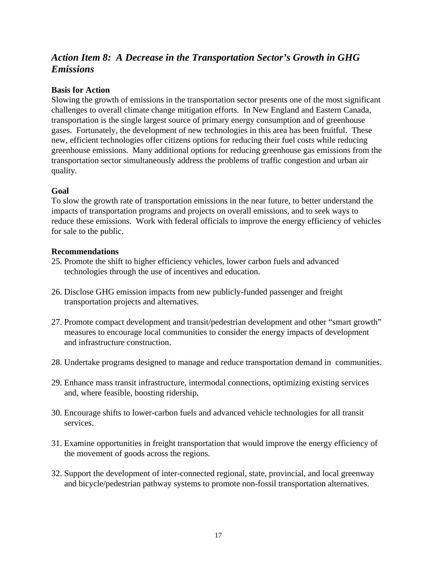## *Action Item 8: A Decrease in the Transportation Sector's Growth in GHG Emissions*

#### **Basis for Action**

Slowing the growth of emissions in the transportation sector presents one of the most significant challenges to overall climate change mitigation efforts. In New England and Eastern Canada, transportation is the single largest source of primary energy consumption and of greenhouse gases. Fortunately, the development of new technologies in this area has been fruitful. These new, efficient technologies offer citizens options for reducing their fuel costs while reducing greenhouse emissions. Many additional options for reducing greenhouse gas emissions from the transportation sector simultaneously address the problems of traffic congestion and urban air quality.

#### **Goal**

To slow the growth rate of transportation emissions in the near future, to better understand the impacts of transportation programs and projects on overall emissions, and to seek ways to reduce these emissions. Work with federal officials to improve the energy efficiency of vehicles for sale to the public.

- 25. Promote the shift to higher efficiency vehicles, lower carbon fuels and advanced technologies through the use of incentives and education.
- 26. Disclose GHG emission impacts from new publicly-funded passenger and freight transportation projects and alternatives.
- 27. Promote compact development and transit/pedestrian development and other "smart growth" measures to encourage local communities to consider the energy impacts of development and infrastructure construction.
- 28. Undertake programs designed to manage and reduce transportation demand in communities.
- 29. Enhance mass transit infrastructure, intermodal connections, optimizing existing services and, where feasible, boosting ridership.
- 30. Encourage shifts to lower-carbon fuels and advanced vehicle technologies for all transit services.
- 31. Examine opportunities in freight transportation that would improve the energy efficiency of the movement of goods across the regions.
- 32. Support the development of inter-connected regional, state, provincial, and local greenway and bicycle/pedestrian pathway systems to promote non-fossil transportation alternatives.